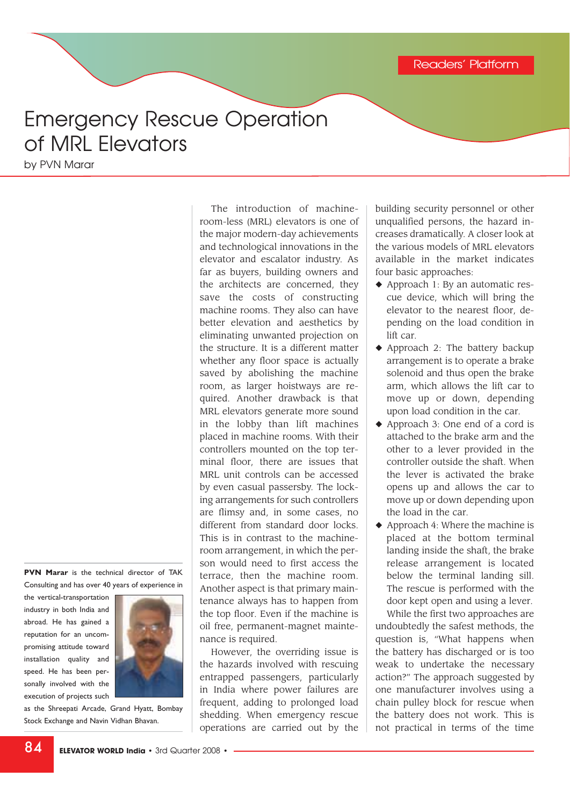## Emergency Rescue Operation of MRL Elevators

by PVN Marar

**PVN Marar** is the technical director of TAK Consulting and has over 40 years of experience in

the vertical-transportation industry in both India and abroad. He has gained a reputation for an uncompromising attitude toward installation quality and speed. He has been personally involved with the execution of projects such



as the Shreepati Arcade, Grand Hyatt, Bombay Stock Exchange and Navin Vidhan Bhavan.

The introduction of machineroom-less (MRL) elevators is one of the major modern-day achievements and technological innovations in the elevator and escalator industry. As far as buyers, building owners and the architects are concerned, they save the costs of constructing machine rooms. They also can have better elevation and aesthetics by eliminating unwanted projection on the structure. It is a different matter whether any floor space is actually saved by abolishing the machine room, as larger hoistways are required. Another drawback is that MRL elevators generate more sound in the lobby than lift machines placed in machine rooms. With their controllers mounted on the top terminal floor, there are issues that MRL unit controls can be accessed by even casual passersby. The locking arrangements for such controllers are flimsy and, in some cases, no different from standard door locks. This is in contrast to the machineroom arrangement, in which the person would need to first access the terrace, then the machine room. Another aspect is that primary maintenance always has to happen from the top floor. Even if the machine is oil free, permanent-magnet maintenance is required.

However, the overriding issue is the hazards involved with rescuing entrapped passengers, particularly in India where power failures are frequent, adding to prolonged load shedding. When emergency rescue operations are carried out by the

building security personnel or other unqualified persons, the hazard increases dramatically. A closer look at the various models of MRL elevators available in the market indicates four basic approaches:

- ◆ Approach 1: By an automatic rescue device, which will bring the elevator to the nearest floor, depending on the load condition in lift car.
- ◆ Approach 2: The battery backup arrangement is to operate a brake solenoid and thus open the brake arm, which allows the lift car to move up or down, depending upon load condition in the car.
- ◆ Approach 3: One end of a cord is attached to the brake arm and the other to a lever provided in the controller outside the shaft. When the lever is activated the brake opens up and allows the car to move up or down depending upon the load in the car.
- $\triangle$  Approach 4: Where the machine is placed at the bottom terminal landing inside the shaft, the brake release arrangement is located below the terminal landing sill. The rescue is performed with the door kept open and using a lever. While the first two approaches are

undoubtedly the safest methods, the question is, "What happens when the battery has discharged or is too weak to undertake the necessary action?" The approach suggested by one manufacturer involves using a chain pulley block for rescue when the battery does not work. This is not practical in terms of the time